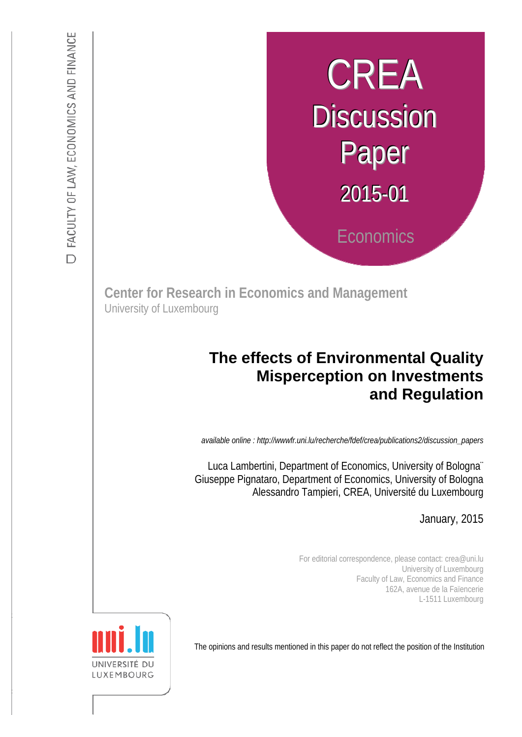# CREA **Discussion** Paper 2015-01 **Economics**

**Center for Research in Economics and Management**  University of Luxembourg

## **The effects of Environmental Quality Misperception on Investments and Regulation**

: *available online : http://wwwfr.uni.lu/recherche/fdef/crea/publications2/discussion\_papers* 

s Giuseppe Pignataro, Department of Economics, University of Bologna Luca Lambertini, Department of Economics, University of Bologna¨ Alessandro Tampieri, CREA, Université du Luxembourg

*Discussion Paper available online : http://fdef.uni.lu/index.php/fdef\_FR/economie/crea*  January, 2015

For editorial correspondence, please contact: crea@uni.lu University of Luxembourg Faculty of Law, Economics and Finance 162A, avenue de la Faïencerie L-1511 Luxembourg

The opinions and results mentioned in this paper do not reflect the position of the Institution

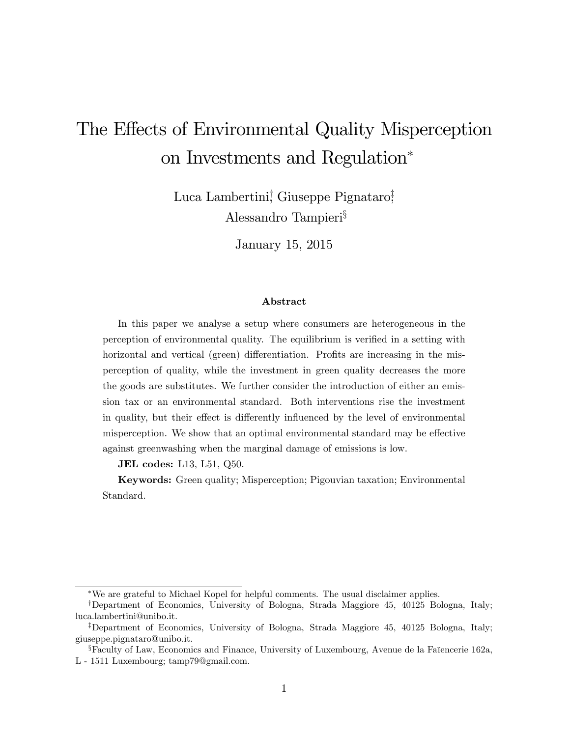# The Effects of Environmental Quality Misperception on Investments and Regulation

Luca Lambertini<sup>†</sup> Giuseppe Pignataro<sup>‡</sup> Alessandro Tampieri<sup>§</sup>

January 15, 2015

#### Abstract

In this paper we analyse a setup where consumers are heterogeneous in the perception of environmental quality. The equilibrium is verified in a setting with horizontal and vertical (green) differentiation. Profits are increasing in the misperception of quality, while the investment in green quality decreases the more the goods are substitutes. We further consider the introduction of either an emission tax or an environmental standard. Both interventions rise the investment in quality, but their effect is differently influenced by the level of environmental misperception. We show that an optimal environmental standard may be effective against greenwashing when the marginal damage of emissions is low.

JEL codes: L13, L51, Q50.

Keywords: Green quality; Misperception; Pigouvian taxation; Environmental Standard.

We are grateful to Michael Kopel for helpful comments. The usual disclaimer applies.

<sup>&</sup>lt;sup>†</sup>Department of Economics, University of Bologna, Strada Maggiore 45, 40125 Bologna, Italy; luca.lambertini@unibo.it.

<sup>&</sup>lt;sup>‡</sup>Department of Economics, University of Bologna, Strada Maggiore 45, 40125 Bologna, Italy; giuseppe.pignataro@unibo.it.

 $\S$ Faculty of Law, Economics and Finance, University of Luxembourg, Avenue de la Faïencerie 162a, L - 1511 Luxembourg; tamp79@gmail.com.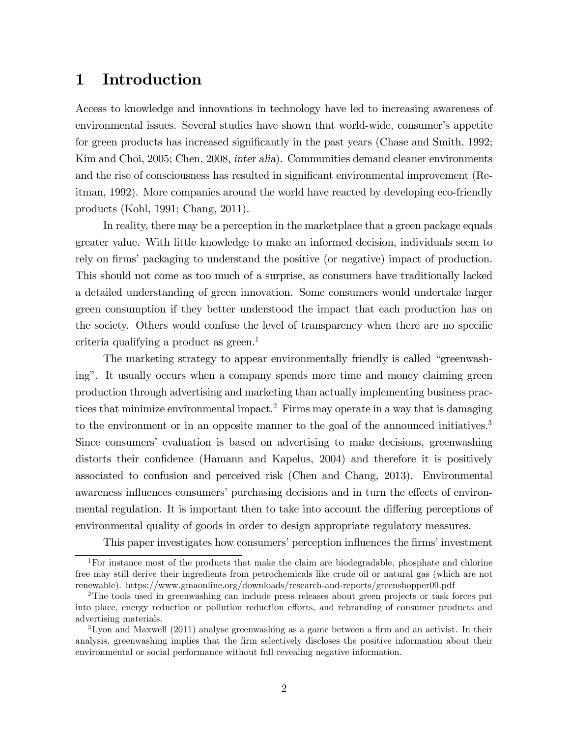## 1 Introduction

Access to knowledge and innovations in technology have led to increasing awareness of environmental issues. Several studies have shown that world-wide, consumer's appetite for green products has increased significantly in the past years (Chase and Smith, 1992; Kim and Choi, 2005; Chen, 2008, inter alia). Communities demand cleaner environments and the rise of consciousness has resulted in significant environmental improvement (Reitman, 1992). More companies around the world have reacted by developing eco-friendly products (Kohl, 1991; Chang, 2011).

In reality, there may be a perception in the marketplace that a green package equals greater value. With little knowledge to make an informed decision, individuals seem to rely on firms' packaging to understand the positive (or negative) impact of production. This should not come as too much of a surprise, as consumers have traditionally lacked a detailed understanding of green innovation. Some consumers would undertake larger green consumption if they better understood the impact that each production has on the society. Others would confuse the level of transparency when there are no specific criteria qualifying a product as  $green^{-1}$ 

The marketing strategy to appear environmentally friendly is called "greenwashing". It usually occurs when a company spends more time and money claiming green production through advertising and marketing than actually implementing business practices that minimize environmental impact.<sup>2</sup> Firms may operate in a way that is damaging to the environment or in an opposite manner to the goal of the announced initiatives.<sup>3</sup> Since consumersí evaluation is based on advertising to make decisions, greenwashing distorts their confidence (Hamann and Kapelus, 2004) and therefore it is positively associated to confusion and perceived risk (Chen and Chang, 2013). Environmental awareness influences consumers' purchasing decisions and in turn the effects of environmental regulation. It is important then to take into account the differing perceptions of environmental quality of goods in order to design appropriate regulatory measures.

This paper investigates how consumers' perception influences the firms' investment

<sup>&</sup>lt;sup>1</sup>For instance most of the products that make the claim are biodegradable, phosphate and chlorine free may still derive their ingredients from petrochemicals like crude oil or natural gas (which are not renewable). https://www.gmaonline.org/downloads/research-and-reports/greenshopper09.pdf

<sup>2</sup>The tools used in greenwashing can include press releases about green projects or task forces put into place, energy reduction or pollution reduction efforts, and rebranding of consumer products and advertising materials.

 $3$ Lyon and Maxwell (2011) analyse greenwashing as a game between a firm and an activist. In their analysis, greenwashing implies that the firm selectively discloses the positive information about their environmental or social performance without full revealing negative information.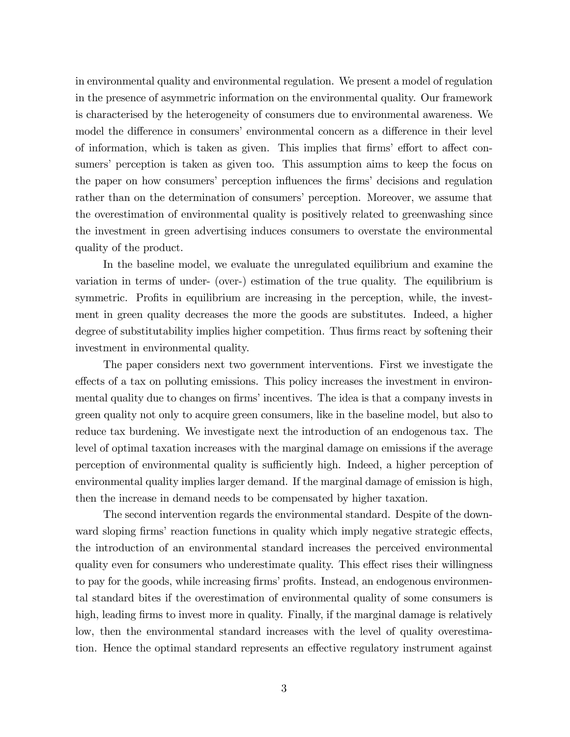in environmental quality and environmental regulation. We present a model of regulation in the presence of asymmetric information on the environmental quality. Our framework is characterised by the heterogeneity of consumers due to environmental awareness. We model the difference in consumers' environmental concern as a difference in their level of information, which is taken as given. This implies that firms' effort to affect consumers' perception is taken as given too. This assumption aims to keep the focus on the paper on how consumers' perception influences the firms' decisions and regulation rather than on the determination of consumers' perception. Moreover, we assume that the overestimation of environmental quality is positively related to greenwashing since the investment in green advertising induces consumers to overstate the environmental quality of the product.

In the baseline model, we evaluate the unregulated equilibrium and examine the variation in terms of under- (over-) estimation of the true quality. The equilibrium is symmetric. Profits in equilibrium are increasing in the perception, while, the investment in green quality decreases the more the goods are substitutes. Indeed, a higher degree of substitutability implies higher competition. Thus firms react by softening their investment in environmental quality.

The paper considers next two government interventions. First we investigate the effects of a tax on polluting emissions. This policy increases the investment in environmental quality due to changes on firms' incentives. The idea is that a company invests in green quality not only to acquire green consumers, like in the baseline model, but also to reduce tax burdening. We investigate next the introduction of an endogenous tax. The level of optimal taxation increases with the marginal damage on emissions if the average perception of environmental quality is sufficiently high. Indeed, a higher perception of environmental quality implies larger demand. If the marginal damage of emission is high, then the increase in demand needs to be compensated by higher taxation.

The second intervention regards the environmental standard. Despite of the downward sloping firms' reaction functions in quality which imply negative strategic effects, the introduction of an environmental standard increases the perceived environmental quality even for consumers who underestimate quality. This effect rises their willingness to pay for the goods, while increasing firms' profits. Instead, an endogenous environmental standard bites if the overestimation of environmental quality of some consumers is high, leading firms to invest more in quality. Finally, if the marginal damage is relatively low, then the environmental standard increases with the level of quality overestimation. Hence the optimal standard represents an effective regulatory instrument against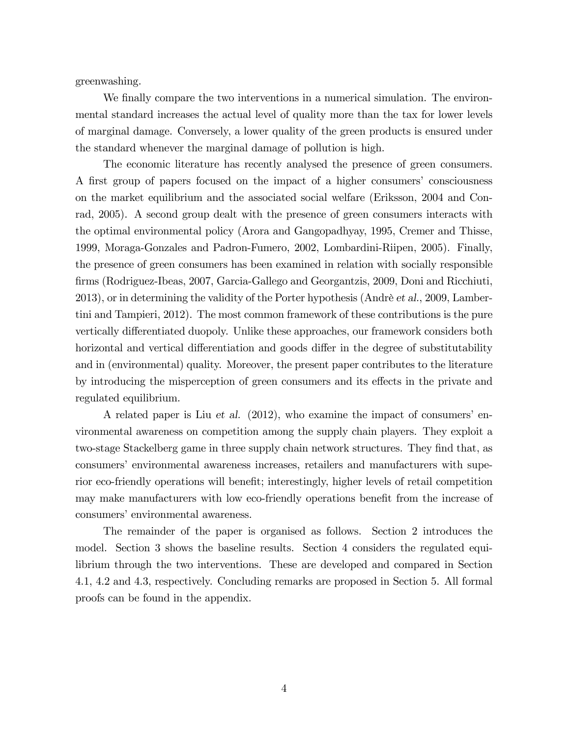greenwashing.

We finally compare the two interventions in a numerical simulation. The environmental standard increases the actual level of quality more than the tax for lower levels of marginal damage. Conversely, a lower quality of the green products is ensured under the standard whenever the marginal damage of pollution is high.

The economic literature has recently analysed the presence of green consumers. A first group of papers focused on the impact of a higher consumers' consciousness on the market equilibrium and the associated social welfare (Eriksson, 2004 and Conrad, 2005). A second group dealt with the presence of green consumers interacts with the optimal environmental policy (Arora and Gangopadhyay, 1995, Cremer and Thisse, 1999, Moraga-Gonzales and Padron-Fumero, 2002, Lombardini-Riipen, 2005). Finally, the presence of green consumers has been examined in relation with socially responsible Örms (Rodriguez-Ibeas, 2007, Garcia-Gallego and Georgantzis, 2009, Doni and Ricchiuti, 2013), or in determining the validity of the Porter hypothesis (Andrè et al., 2009, Lambertini and Tampieri, 2012). The most common framework of these contributions is the pure vertically differentiated duopoly. Unlike these approaches, our framework considers both horizontal and vertical differentiation and goods differ in the degree of substitutability and in (environmental) quality. Moreover, the present paper contributes to the literature by introducing the misperception of green consumers and its effects in the private and regulated equilibrium.

A related paper is Liu et al.  $(2012)$ , who examine the impact of consumers' environmental awareness on competition among the supply chain players. They exploit a two-stage Stackelberg game in three supply chain network structures. They find that, as consumersí environmental awareness increases, retailers and manufacturers with superior eco-friendly operations will benefit; interestingly, higher levels of retail competition may make manufacturers with low eco-friendly operations benefit from the increase of consumers' environmental awareness.

The remainder of the paper is organised as follows. Section 2 introduces the model. Section 3 shows the baseline results. Section 4 considers the regulated equilibrium through the two interventions. These are developed and compared in Section 4.1, 4.2 and 4.3, respectively. Concluding remarks are proposed in Section 5. All formal proofs can be found in the appendix.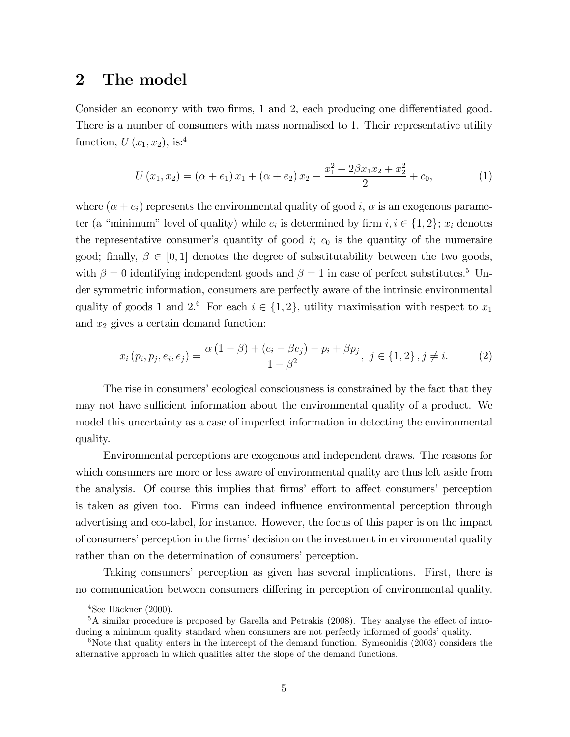## 2 The model

Consider an economy with two firms, 1 and 2, each producing one differentiated good. There is a number of consumers with mass normalised to 1. Their representative utility function,  $U(x_1, x_2)$ , is:<sup>4</sup>

$$
U(x_1, x_2) = (\alpha + e_1) x_1 + (\alpha + e_2) x_2 - \frac{x_1^2 + 2\beta x_1 x_2 + x_2^2}{2} + c_0,
$$
\n(1)

where  $(\alpha + e_i)$  represents the environmental quality of good i,  $\alpha$  is an exogenous parameter (a "minimum" level of quality) while  $e_i$  is determined by firm  $i, i \in \{1, 2\}$ ;  $x_i$  denotes the representative consumer's quantity of good  $i$ ;  $c_0$  is the quantity of the numeraire good; finally,  $\beta \in [0, 1]$  denotes the degree of substitutability between the two goods, with  $\beta = 0$  identifying independent goods and  $\beta = 1$  in case of perfect substitutes.<sup>5</sup> Under symmetric information, consumers are perfectly aware of the intrinsic environmental quality of goods 1 and 2.<sup>6</sup> For each  $i \in \{1, 2\}$ , utility maximisation with respect to  $x_1$ and  $x_2$  gives a certain demand function:

$$
x_i(p_i, p_j, e_i, e_j) = \frac{\alpha (1 - \beta) + (e_i - \beta e_j) - p_i + \beta p_j}{1 - \beta^2}, \ j \in \{1, 2\}, j \neq i. \tag{2}
$$

The rise in consumers' ecological consciousness is constrained by the fact that they may not have sufficient information about the environmental quality of a product. We model this uncertainty as a case of imperfect information in detecting the environmental quality.

Environmental perceptions are exogenous and independent draws. The reasons for which consumers are more or less aware of environmental quality are thus left aside from the analysis. Of course this implies that firms' effort to affect consumers' perception is taken as given too. Firms can indeed influence environmental perception through advertising and eco-label, for instance. However, the focus of this paper is on the impact of consumers' perception in the firms' decision on the investment in environmental quality rather than on the determination of consumers' perception.

Taking consumersí perception as given has several implications. First, there is no communication between consumers differing in perception of environmental quality.

 $4$ See Häckner (2000).

 $5A$  similar procedure is proposed by Garella and Petrakis (2008). They analyse the effect of introducing a minimum quality standard when consumers are not perfectly informed of goods' quality.

 $6$ Note that quality enters in the intercept of the demand function. Symeonidis (2003) considers the alternative approach in which qualities alter the slope of the demand functions.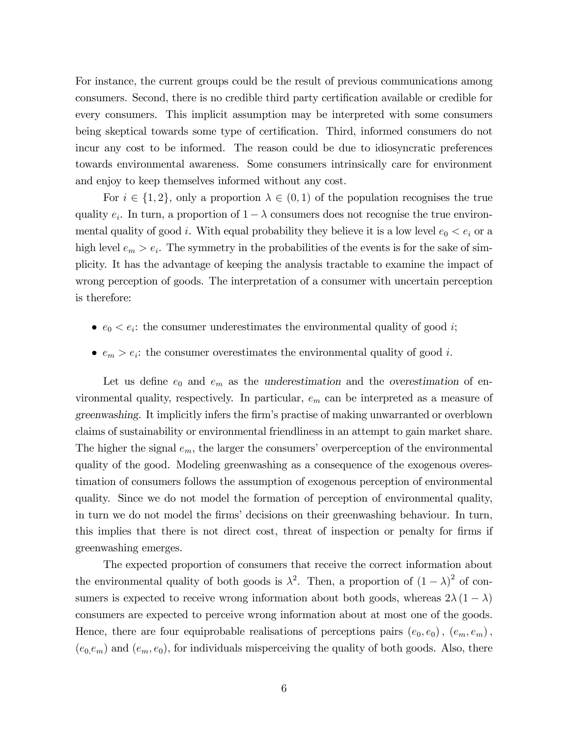For instance, the current groups could be the result of previous communications among consumers. Second, there is no credible third party certification available or credible for every consumers. This implicit assumption may be interpreted with some consumers being skeptical towards some type of certification. Third, informed consumers do not incur any cost to be informed. The reason could be due to idiosyncratic preferences towards environmental awareness. Some consumers intrinsically care for environment and enjoy to keep themselves informed without any cost.

For  $i \in \{1, 2\}$ , only a proportion  $\lambda \in (0, 1)$  of the population recognises the true quality  $e_i$ . In turn, a proportion of  $1 - \lambda$  consumers does not recognise the true environmental quality of good *i*. With equal probability they believe it is a low level  $e_0 < e_i$  or a high level  $e_m > e_i$ . The symmetry in the probabilities of the events is for the sake of simplicity. It has the advantage of keeping the analysis tractable to examine the impact of wrong perception of goods. The interpretation of a consumer with uncertain perception is therefore:

- $e_0 < e_i$ : the consumer underestimates the environmental quality of good *i*;
- $e_m > e_i$ : the consumer overestimates the environmental quality of good *i*.

Let us define  $e_0$  and  $e_m$  as the underestimation and the overestimation of environmental quality, respectively. In particular,  $e_m$  can be interpreted as a measure of greenwashing. It implicitly infers the firm's practise of making unwarranted or overblown claims of sustainability or environmental friendliness in an attempt to gain market share. The higher the signal  $e_m$ , the larger the consumers' overperception of the environmental quality of the good. Modeling greenwashing as a consequence of the exogenous overestimation of consumers follows the assumption of exogenous perception of environmental quality. Since we do not model the formation of perception of environmental quality, in turn we do not model the firms' decisions on their greenwashing behaviour. In turn, this implies that there is not direct cost, threat of inspection or penalty for firms if greenwashing emerges.

The expected proportion of consumers that receive the correct information about the environmental quality of both goods is  $\lambda^2$ . Then, a proportion of  $(1 - \lambda)^2$  of consumers is expected to receive wrong information about both goods, whereas  $2\lambda (1 - \lambda)$ consumers are expected to perceive wrong information about at most one of the goods. Hence, there are four equiprobable realisations of perceptions pairs  $(e_0, e_0)$ ,  $(e_m, e_m)$ ,  $(e_0,e_m)$  and  $(e_m,e_0)$ , for individuals misperceiving the quality of both goods. Also, there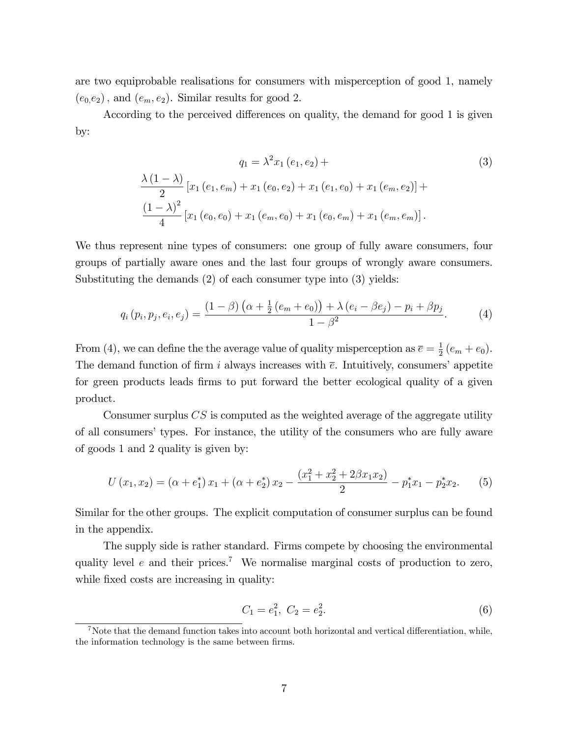are two equiprobable realisations for consumers with misperception of good 1, namely  $(e_0,e_2)$ , and  $(e_m,e_2)$ . Similar results for good 2.

According to the perceived differences on quality, the demand for good 1 is given by:

(3)  
\n
$$
\frac{\lambda (1 - \lambda)}{2} [x_1 (e_1, e_m) + x_1 (e_0, e_2) + x_1 (e_1, e_0) + x_1 (e_m, e_2)] +
$$
\n
$$
\frac{(1 - \lambda)^2}{4} [x_1 (e_0, e_0) + x_1 (e_m, e_0) + x_1 (e_0, e_m) + x_1 (e_m, e_m)].
$$
\n(3)

We thus represent nine types of consumers: one group of fully aware consumers, four groups of partially aware ones and the last four groups of wrongly aware consumers. Substituting the demands (2) of each consumer type into (3) yields:

$$
q_i(p_i, p_j, e_i, e_j) = \frac{(1 - \beta) (\alpha + \frac{1}{2} (e_m + e_0)) + \lambda (e_i - \beta e_j) - p_i + \beta p_j}{1 - \beta^2}.
$$
 (4)

From (4), we can define the the average value of quality misperception as  $\overline{e} = \frac{1}{2}$  $\frac{1}{2}(e_m+e_0).$ The demand function of firm i always increases with  $\bar{e}$ . Intuitively, consumers' appetite for green products leads firms to put forward the better ecological quality of a given product.

Consumer surplus CS is computed as the weighted average of the aggregate utility of all consumers' types. For instance, the utility of the consumers who are fully aware of goods 1 and 2 quality is given by:

$$
U(x_1, x_2) = (\alpha + e_1^*) x_1 + (\alpha + e_2^*) x_2 - \frac{(x_1^2 + x_2^2 + 2\beta x_1 x_2)}{2} - p_1^* x_1 - p_2^* x_2.
$$
 (5)

Similar for the other groups. The explicit computation of consumer surplus can be found in the appendix.

The supply side is rather standard. Firms compete by choosing the environmental quality level  $e$  and their prices.<sup>7</sup> We normalise marginal costs of production to zero, while fixed costs are increasing in quality:

$$
C_1 = e_1^2, \ C_2 = e_2^2. \tag{6}
$$

 $7$ Note that the demand function takes into account both horizontal and vertical differentiation, while, the information technology is the same between firms.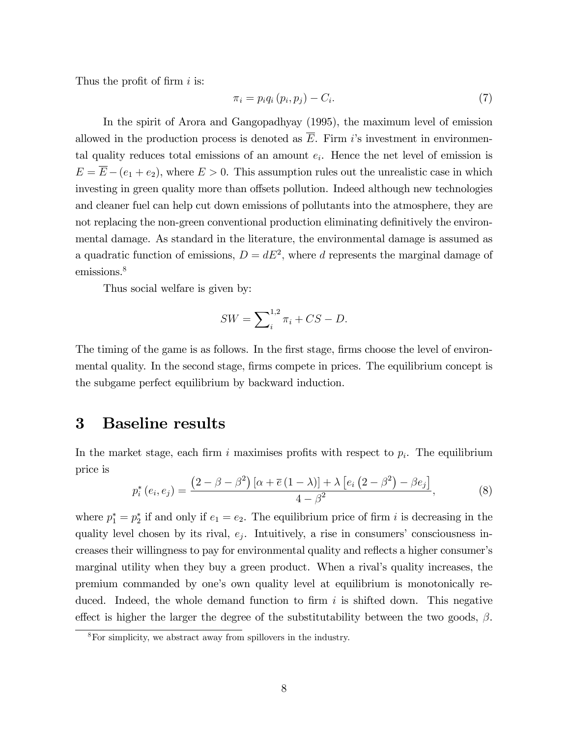Thus the profit of firm  $i$  is:

$$
\pi_i = p_i q_i (p_i, p_j) - C_i. \tag{7}
$$

In the spirit of Arora and Gangopadhyay (1995), the maximum level of emission allowed in the production process is denoted as  $\overline{E}$ . Firm i's investment in environmental quality reduces total emissions of an amount  $e_i$ . Hence the net level of emission is  $E = \overline{E} - (e_1 + e_2)$ , where  $E > 0$ . This assumption rules out the unrealistic case in which investing in green quality more than offsets pollution. Indeed although new technologies and cleaner fuel can help cut down emissions of pollutants into the atmosphere, they are not replacing the non-green conventional production eliminating definitively the environmental damage. As standard in the literature, the environmental damage is assumed as a quadratic function of emissions,  $D = dE^2$ , where d represents the marginal damage of emissions.<sup>8</sup>

Thus social welfare is given by:

$$
SW = \sum_{i}^{1,2} \pi_i + CS - D.
$$

The timing of the game is as follows. In the first stage, firms choose the level of environmental quality. In the second stage, firms compete in prices. The equilibrium concept is the subgame perfect equilibrium by backward induction.

## 3 Baseline results

In the market stage, each firm i maximises profits with respect to  $p_i$ . The equilibrium price is

$$
p_i^*(e_i, e_j) = \frac{\left(2 - \beta - \beta^2\right)\left[\alpha + \overline{e}\left(1 - \lambda\right)\right] + \lambda\left[e_i\left(2 - \beta^2\right) - \beta e_j\right]}{4 - \beta^2},\tag{8}
$$

where  $p_1^* = p_2^*$  if and only if  $e_1 = e_2$ . The equilibrium price of firm i is decreasing in the quality level chosen by its rival,  $e_j$ . Intuitively, a rise in consumers' consciousness increases their willingness to pay for environmental quality and reflects a higher consumer's marginal utility when they buy a green product. When a rival's quality increases, the premium commanded by one's own quality level at equilibrium is monotonically reduced. Indeed, the whole demand function to firm  $i$  is shifted down. This negative effect is higher the larger the degree of the substitutability between the two goods,  $\beta$ .

<sup>8</sup>For simplicity, we abstract away from spillovers in the industry.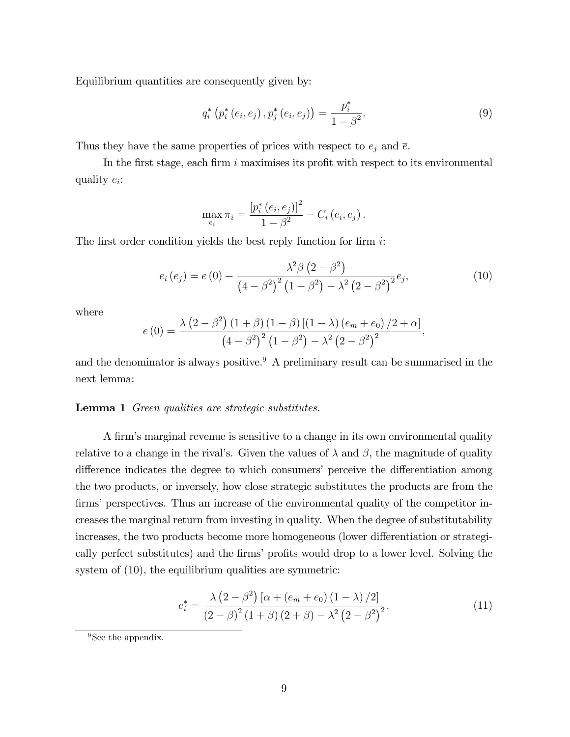Equilibrium quantities are consequently given by:

$$
q_i^* (p_i^* (e_i, e_j), p_j^* (e_i, e_j)) = \frac{p_i^*}{1 - \beta^2}.
$$
 (9)

Thus they have the same properties of prices with respect to  $e_j$  and  $\overline{e}$ .

In the first stage, each firm  $i$  maximises its profit with respect to its environmental quality  $e_i$ :

$$
\max_{e_i} \pi_i = \frac{\left[p_i^*(e_i, e_j)\right]^2}{1 - \beta^2} - C_i(e_i, e_j).
$$

The first order condition yields the best reply function for firm  $i$ :

$$
e_i(e_j) = e(0) - \frac{\lambda^2 \beta (2 - \beta^2)}{(4 - \beta^2)^2 (1 - \beta^2) - \lambda^2 (2 - \beta^2)^2} e_j,
$$
\n(10)

where

$$
e(0) = \frac{\lambda (2 - \beta^{2}) (1 + \beta) (1 - \beta) [(1 - \lambda) (e_{m} + e_{0}) / 2 + \alpha]}{(4 - \beta^{2})^{2} (1 - \beta^{2}) - \lambda^{2} (2 - \beta^{2})^{2}},
$$

and the denominator is always positive.<sup>9</sup> A preliminary result can be summarised in the next lemma:

#### Lemma 1 Green qualities are strategic substitutes.

A firm's marginal revenue is sensitive to a change in its own environmental quality relative to a change in the rival's. Given the values of  $\lambda$  and  $\beta$ , the magnitude of quality difference indicates the degree to which consumers' perceive the differentiation among the two products, or inversely, how close strategic substitutes the products are from the firms' perspectives. Thus an increase of the environmental quality of the competitor increases the marginal return from investing in quality. When the degree of substitutability increases, the two products become more homogeneous (lower differentiation or strategically perfect substitutes) and the firms' profits would drop to a lower level. Solving the system of  $(10)$ , the equilibrium qualities are symmetric:

$$
e_i^* = \frac{\lambda (2 - \beta^2) [\alpha + (e_m + e_0) (1 - \lambda) / 2]}{(2 - \beta)^2 (1 + \beta) (2 + \beta) - \lambda^2 (2 - \beta^2)^2}.
$$
 (11)

<sup>&</sup>lt;sup>9</sup>See the appendix.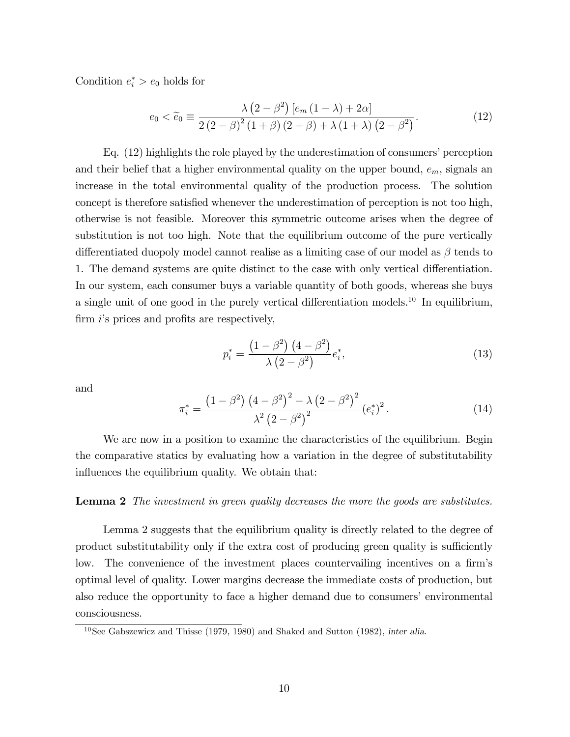Condition  $e_i^* > e_0$  holds for

$$
e_0 < \widetilde{e}_0 \equiv \frac{\lambda \left(2 - \beta^2\right) \left[e_m \left(1 - \lambda\right) + 2\alpha\right]}{2 \left(2 - \beta\right)^2 \left(1 + \beta\right) \left(2 + \beta\right) + \lambda \left(1 + \lambda\right) \left(2 - \beta^2\right)}.
$$
\n(12)

Eq.  $(12)$  highlights the role played by the underestimation of consumers' perception and their belief that a higher environmental quality on the upper bound,  $e_m$ , signals an increase in the total environmental quality of the production process. The solution concept is therefore satisfied whenever the underestimation of perception is not too high, otherwise is not feasible. Moreover this symmetric outcome arises when the degree of substitution is not too high. Note that the equilibrium outcome of the pure vertically differentiated duopoly model cannot realise as a limiting case of our model as  $\beta$  tends to 1. The demand systems are quite distinct to the case with only vertical differentiation. In our system, each consumer buys a variable quantity of both goods, whereas she buys a single unit of one good in the purely vertical differentiation models.<sup>10</sup> In equilibrium, firm  $i$ 's prices and profits are respectively,

$$
p_i^* = \frac{(1 - \beta^2)(4 - \beta^2)}{\lambda(2 - \beta^2)} e_i^*,
$$
\n(13)

and

$$
\pi_i^* = \frac{\left(1 - \beta^2\right) \left(4 - \beta^2\right)^2 - \lambda \left(2 - \beta^2\right)^2}{\lambda^2 \left(2 - \beta^2\right)^2} \left(e_i^*\right)^2. \tag{14}
$$

We are now in a position to examine the characteristics of the equilibrium. Begin the comparative statics by evaluating how a variation in the degree of substitutability influences the equilibrium quality. We obtain that:

#### Lemma 2 The investment in green quality decreases the more the goods are substitutes.

Lemma 2 suggests that the equilibrium quality is directly related to the degree of product substitutability only if the extra cost of producing green quality is sufficiently low. The convenience of the investment places countervailing incentives on a firm's optimal level of quality. Lower margins decrease the immediate costs of production, but also reduce the opportunity to face a higher demand due to consumers' environmental consciousness.

 $10$ See Gabszewicz and Thisse (1979, 1980) and Shaked and Sutton (1982), inter alia.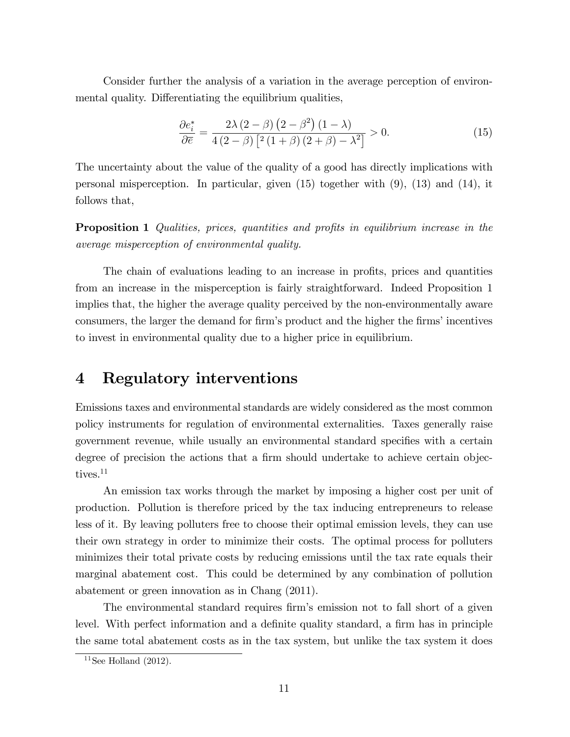Consider further the analysis of a variation in the average perception of environmental quality. Differentiating the equilibrium qualities,

$$
\frac{\partial e_i^*}{\partial \overline{e}} = \frac{2\lambda (2-\beta) (2-\beta^2) (1-\lambda)}{4 (2-\beta) [2(1+\beta) (2+\beta) - \lambda^2]} > 0.
$$
\n(15)

The uncertainty about the value of the quality of a good has directly implications with personal misperception. In particular, given (15) together with (9), (13) and (14), it follows that,

**Proposition 1** Qualities, prices, quantities and profits in equilibrium increase in the average misperception of environmental quality.

The chain of evaluations leading to an increase in profits, prices and quantities from an increase in the misperception is fairly straightforward. Indeed Proposition 1 implies that, the higher the average quality perceived by the non-environmentally aware consumers, the larger the demand for firm's product and the higher the firms' incentives to invest in environmental quality due to a higher price in equilibrium.

## 4 Regulatory interventions

Emissions taxes and environmental standards are widely considered as the most common policy instruments for regulation of environmental externalities. Taxes generally raise government revenue, while usually an environmental standard specifies with a certain degree of precision the actions that a firm should undertake to achieve certain objectives.<sup>11</sup>

An emission tax works through the market by imposing a higher cost per unit of production. Pollution is therefore priced by the tax inducing entrepreneurs to release less of it. By leaving polluters free to choose their optimal emission levels, they can use their own strategy in order to minimize their costs. The optimal process for polluters minimizes their total private costs by reducing emissions until the tax rate equals their marginal abatement cost. This could be determined by any combination of pollution abatement or green innovation as in Chang (2011).

The environmental standard requires firm's emission not to fall short of a given level. With perfect information and a definite quality standard, a firm has in principle the same total abatement costs as in the tax system, but unlike the tax system it does

 $11$ See Holland (2012).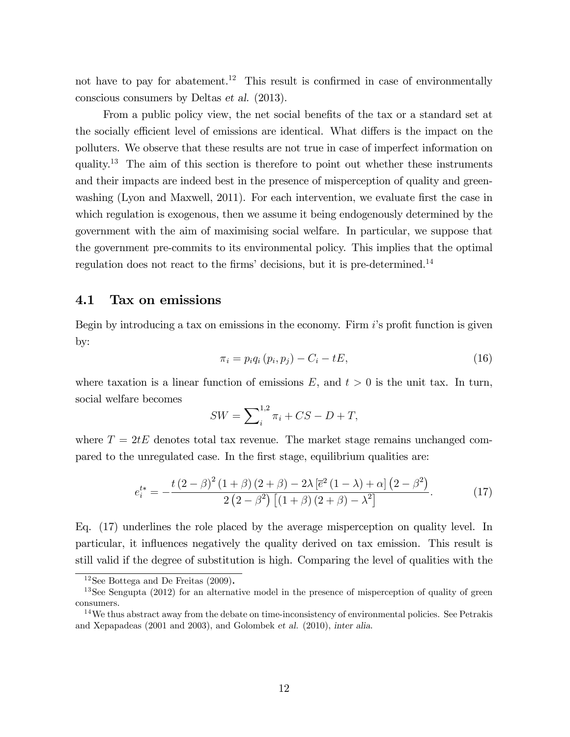not have to pay for abatement.<sup>12</sup> This result is confirmed in case of environmentally conscious consumers by Deltas et al. (2013).

From a public policy view, the net social benefits of the tax or a standard set at the socially efficient level of emissions are identical. What differs is the impact on the polluters. We observe that these results are not true in case of imperfect information on quality.<sup>13</sup> The aim of this section is therefore to point out whether these instruments and their impacts are indeed best in the presence of misperception of quality and greenwashing (Lyon and Maxwell, 2011). For each intervention, we evaluate first the case in which regulation is exogenous, then we assume it being endogenously determined by the government with the aim of maximising social welfare. In particular, we suppose that the government pre-commits to its environmental policy. This implies that the optimal regulation does not react to the firms' decisions, but it is pre-determined.<sup>14</sup>

## 4.1 Tax on emissions

Begin by introducing a tax on emissions in the economy. Firm  $i$ 's profit function is given by:

$$
\pi_i = p_i q_i (p_i, p_j) - C_i - tE,
$$
\n
$$
(16)
$$

where taxation is a linear function of emissions  $E$ , and  $t > 0$  is the unit tax. In turn, social welfare becomes

$$
SW = \sum_{i}^{1,2} \pi_i + CS - D + T,
$$

where  $T = 2tE$  denotes total tax revenue. The market stage remains unchanged compared to the unregulated case. In the Örst stage, equilibrium qualities are:

$$
e_i^{t*} = -\frac{t(2-\beta)^2(1+\beta)(2+\beta) - 2\lambda \left[\bar{e}^2(1-\lambda) + \alpha\right](2-\beta^2)}{2(2-\beta^2)\left[(1+\beta)(2+\beta) - \lambda^2\right]}.
$$
 (17)

Eq. (17) underlines the role placed by the average misperception on quality level. In particular, it ináuences negatively the quality derived on tax emission. This result is still valid if the degree of substitution is high. Comparing the level of qualities with the

 $12$ See Bottega and De Freitas (2009).

<sup>&</sup>lt;sup>13</sup>See Sengupta (2012) for an alternative model in the presence of misperception of quality of green consumers.

 $14$ We thus abstract away from the debate on time-inconsistency of environmental policies. See Petrakis and Xepapadeas (2001 and 2003), and Golombek et al. (2010), inter alia.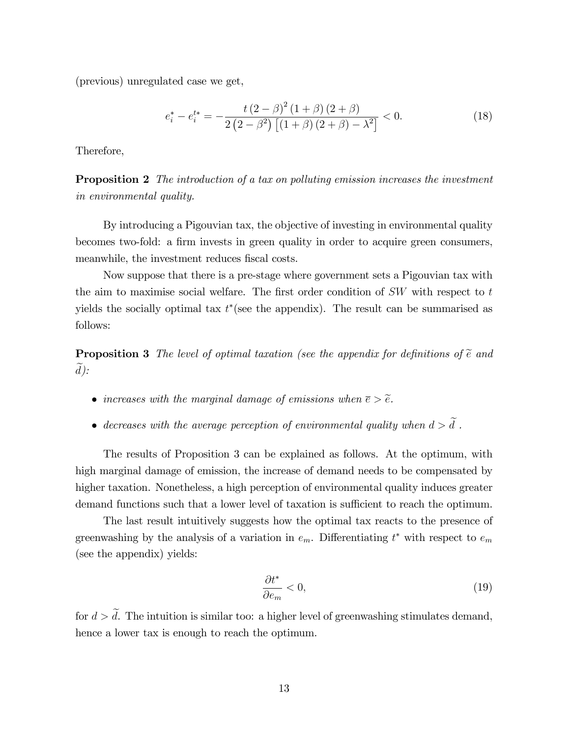(previous) unregulated case we get,

$$
e_i^* - e_i^{t*} = -\frac{t(2-\beta)^2 (1+\beta)(2+\beta)}{2(2-\beta^2) [(1+\beta)(2+\beta)-\lambda^2]} < 0.
$$
 (18)

Therefore,

**Proposition 2** The introduction of a tax on polluting emission increases the investment in environmental quality.

By introducing a Pigouvian tax, the objective of investing in environmental quality becomes two-fold: a firm invests in green quality in order to acquire green consumers, meanwhile, the investment reduces fiscal costs.

Now suppose that there is a pre-stage where government sets a Pigouvian tax with the aim to maximise social welfare. The first order condition of  $SW$  with respect to t yields the socially optimal tax  $t^*$  (see the appendix). The result can be summarised as follows:

**Proposition 3** The level of optimal taxation (see the appendix for definitions of  $\tilde{e}$  and  $\overline{d}$ ):

- increases with the marginal damage of emissions when  $\bar{e} > \tilde{e}$ .
- decreases with the average perception of environmental quality when  $d > \tilde{d}$ .

The results of Proposition 3 can be explained as follows. At the optimum, with high marginal damage of emission, the increase of demand needs to be compensated by higher taxation. Nonetheless, a high perception of environmental quality induces greater demand functions such that a lower level of taxation is sufficient to reach the optimum.

The last result intuitively suggests how the optimal tax reacts to the presence of greenwashing by the analysis of a variation in  $e_m$ . Differentiating  $t^*$  with respect to  $e_m$ (see the appendix) yields:

$$
\frac{\partial t^*}{\partial e_m} < 0,\tag{19}
$$

for  $d > \tilde{d}$ . The intuition is similar too: a higher level of greenwashing stimulates demand, hence a lower tax is enough to reach the optimum.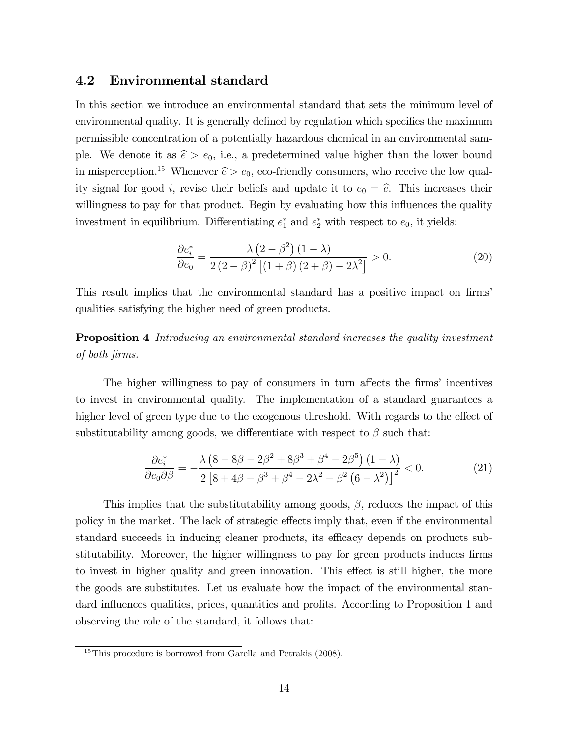## 4.2 Environmental standard

In this section we introduce an environmental standard that sets the minimum level of environmental quality. It is generally defined by regulation which specifies the maximum permissible concentration of a potentially hazardous chemical in an environmental sample. We denote it as  $\hat{e} > e_0$ , i.e., a predetermined value higher than the lower bound in misperception.<sup>15</sup> Whenever  $\hat{e} > e_0$ , eco-friendly consumers, who receive the low quality signal for good *i*, revise their beliefs and update it to  $e_0 = \hat{e}$ . This increases their willingness to pay for that product. Begin by evaluating how this influences the quality investment in equilibrium. Differentiating  $e_1^*$  and  $e_2^*$  with respect to  $e_0$ , it yields:

$$
\frac{\partial e_i^*}{\partial e_0} = \frac{\lambda \left(2 - \beta^2\right) (1 - \lambda)}{2 \left(2 - \beta\right)^2 \left[ (1 + \beta) (2 + \beta) - 2\lambda^2 \right]} > 0. \tag{20}
$$

This result implies that the environmental standard has a positive impact on firms' qualities satisfying the higher need of green products.

Proposition 4 Introducing an environmental standard increases the quality investment of both Örms.

The higher willingness to pay of consumers in turn affects the firms' incentives to invest in environmental quality. The implementation of a standard guarantees a higher level of green type due to the exogenous threshold. With regards to the effect of substitutability among goods, we differentiate with respect to  $\beta$  such that:

$$
\frac{\partial e_i^*}{\partial e_0 \partial \beta} = -\frac{\lambda \left(8 - 8\beta - 2\beta^2 + 8\beta^3 + \beta^4 - 2\beta^5\right) (1 - \lambda)}{2 \left[8 + 4\beta - \beta^3 + \beta^4 - 2\lambda^2 - \beta^2 \left(6 - \lambda^2\right)\right]^2} < 0.
$$
\n(21)

This implies that the substitutability among goods,  $\beta$ , reduces the impact of this policy in the market. The lack of strategic effects imply that, even if the environmental standard succeeds in inducing cleaner products, its efficacy depends on products substitutability. Moreover, the higher willingness to pay for green products induces firms to invest in higher quality and green innovation. This effect is still higher, the more the goods are substitutes. Let us evaluate how the impact of the environmental standard influences qualities, prices, quantities and profits. According to Proposition 1 and observing the role of the standard, it follows that:

<sup>&</sup>lt;sup>15</sup>This procedure is borrowed from Garella and Petrakis (2008).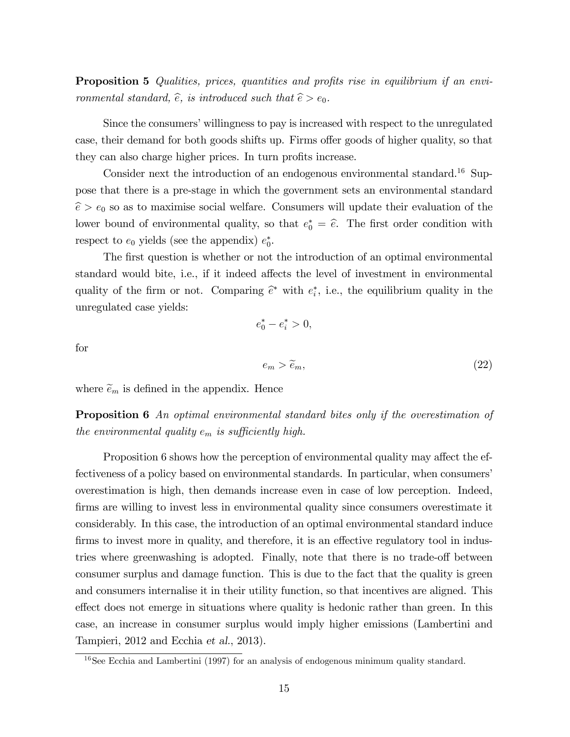**Proposition 5** Qualities, prices, quantities and profits rise in equilibrium if an environmental standard,  $\hat{e}$ , is introduced such that  $\hat{e} > e_0$ .

Since the consumers' willingness to pay is increased with respect to the unregulated case, their demand for both goods shifts up. Firms offer goods of higher quality, so that they can also charge higher prices. In turn profits increase.

Consider next the introduction of an endogenous environmental standard.<sup>16</sup> Suppose that there is a pre-stage in which the government sets an environmental standard  $\hat{e} > e_0$  so as to maximise social welfare. Consumers will update their evaluation of the lower bound of environmental quality, so that  $e_0^* = \hat{e}$ . The first order condition with respect to  $e_0$  yields (see the appendix)  $e_0^*$ .

The first question is whether or not the introduction of an optimal environmental standard would bite, i.e., if it indeed affects the level of investment in environmental quality of the firm or not. Comparing  $\hat{e}^*$  with  $e_i^*$ , i.e., the equilibrium quality in the unregulated case yields:

 $e_0^* - e_i^* > 0,$ 

for

$$
e_m > \tilde{e}_m, \tag{22}
$$

where  $\widetilde{e}_m$  is defined in the appendix. Hence

**Proposition 6** An optimal environmental standard bites only if the overestimation of the environmental quality  $e_m$  is sufficiently high.

Proposition 6 shows how the perception of environmental quality may affect the effectiveness of a policy based on environmental standards. In particular, when consumers' overestimation is high, then demands increase even in case of low perception. Indeed, firms are willing to invest less in environmental quality since consumers overestimate it considerably. In this case, the introduction of an optimal environmental standard induce firms to invest more in quality, and therefore, it is an effective regulatory tool in industries where greenwashing is adopted. Finally, note that there is no trade-off between consumer surplus and damage function. This is due to the fact that the quality is green and consumers internalise it in their utility function, so that incentives are aligned. This effect does not emerge in situations where quality is hedonic rather than green. In this case, an increase in consumer surplus would imply higher emissions (Lambertini and Tampieri, 2012 and Ecchia et al., 2013).

<sup>16</sup>See Ecchia and Lambertini (1997) for an analysis of endogenous minimum quality standard.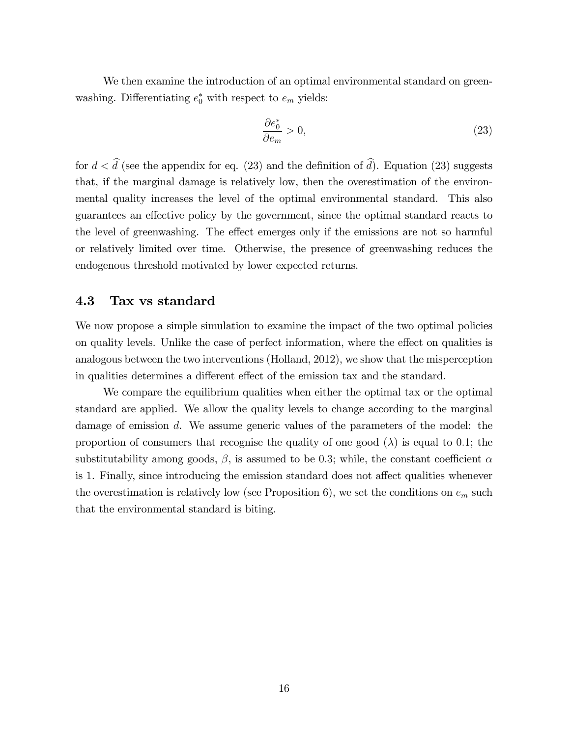We then examine the introduction of an optimal environmental standard on greenwashing. Differentiating  $e_0^*$  with respect to  $e_m$  yields:

$$
\frac{\partial e_0^*}{\partial e_m} > 0,\t\t(23)
$$

for  $d < \hat{d}$  (see the appendix for eq. (23) and the definition of  $\hat{d}$ ). Equation (23) suggests that, if the marginal damage is relatively low, then the overestimation of the environmental quality increases the level of the optimal environmental standard. This also guarantees an effective policy by the government, since the optimal standard reacts to the level of greenwashing. The effect emerges only if the emissions are not so harmful or relatively limited over time. Otherwise, the presence of greenwashing reduces the endogenous threshold motivated by lower expected returns.

## 4.3 Tax vs standard

We now propose a simple simulation to examine the impact of the two optimal policies on quality levels. Unlike the case of perfect information, where the effect on qualities is analogous between the two interventions (Holland, 2012), we show that the misperception in qualities determines a different effect of the emission tax and the standard.

We compare the equilibrium qualities when either the optimal tax or the optimal standard are applied. We allow the quality levels to change according to the marginal damage of emission d. We assume generic values of the parameters of the model: the proportion of consumers that recognise the quality of one good  $(\lambda)$  is equal to 0.1; the substitutability among goods,  $\beta$ , is assumed to be 0.3; while, the constant coefficient  $\alpha$ is 1. Finally, since introducing the emission standard does not affect qualities whenever the overestimation is relatively low (see Proposition 6), we set the conditions on  $e_m$  such that the environmental standard is biting.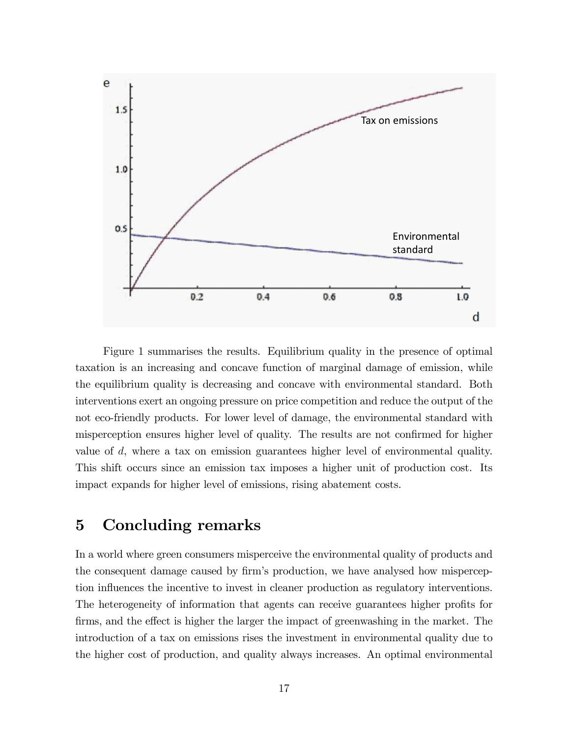

Figure 1 summarises the results. Equilibrium quality in the presence of optimal taxation is an increasing and concave function of marginal damage of emission, while the equilibrium quality is decreasing and concave with environmental standard. Both interventions exert an ongoing pressure on price competition and reduce the output of the not eco-friendly products. For lower level of damage, the environmental standard with misperception ensures higher level of quality. The results are not confirmed for higher value of d, where a tax on emission guarantees higher level of environmental quality. This shift occurs since an emission tax imposes a higher unit of production cost. Its impact expands for higher level of emissions, rising abatement costs.

## 5 Concluding remarks

In a world where green consumers misperceive the environmental quality of products and the consequent damage caused by firm's production, we have analysed how misperception influences the incentive to invest in cleaner production as regulatory interventions. The heterogeneity of information that agents can receive guarantees higher profits for firms, and the effect is higher the larger the impact of greenwashing in the market. The introduction of a tax on emissions rises the investment in environmental quality due to the higher cost of production, and quality always increases. An optimal environmental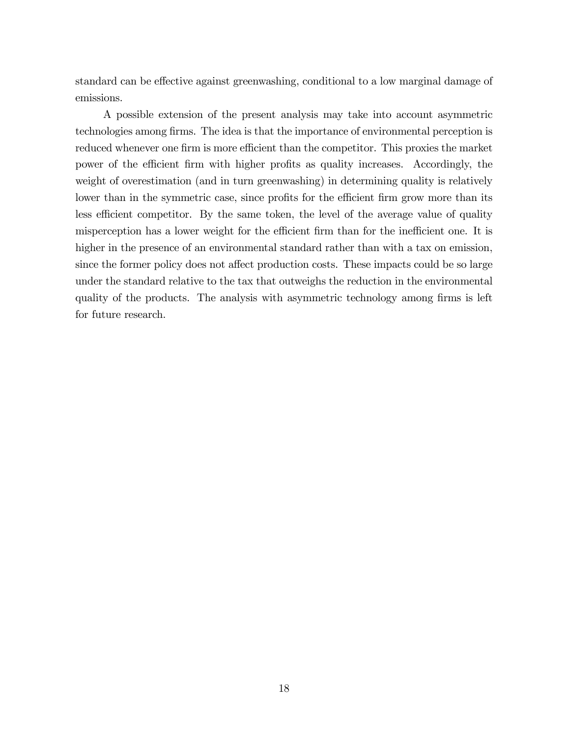standard can be effective against greenwashing, conditional to a low marginal damage of emissions.

A possible extension of the present analysis may take into account asymmetric technologies among firms. The idea is that the importance of environmental perception is reduced whenever one firm is more efficient than the competitor. This proxies the market power of the efficient firm with higher profits as quality increases. Accordingly, the weight of overestimation (and in turn greenwashing) in determining quality is relatively lower than in the symmetric case, since profits for the efficient firm grow more than its less efficient competitor. By the same token, the level of the average value of quality misperception has a lower weight for the efficient firm than for the inefficient one. It is higher in the presence of an environmental standard rather than with a tax on emission, since the former policy does not affect production costs. These impacts could be so large under the standard relative to the tax that outweighs the reduction in the environmental quality of the products. The analysis with asymmetric technology among firms is left for future research.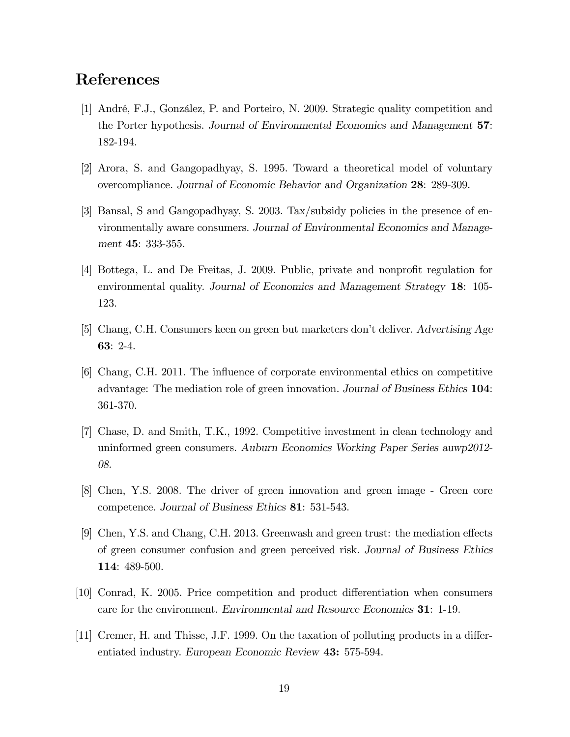## References

- [1] André, F.J., González, P. and Porteiro, N. 2009. Strategic quality competition and the Porter hypothesis. Journal of Environmental Economics and Management 57: 182-194.
- [2] Arora, S. and Gangopadhyay, S. 1995. Toward a theoretical model of voluntary overcompliance. Journal of Economic Behavior and Organization 28: 289-309.
- [3] Bansal, S and Gangopadhyay, S. 2003. Tax/subsidy policies in the presence of environmentally aware consumers. Journal of Environmental Economics and Management 45: 333-355.
- [4] Bottega, L. and De Freitas, J. 2009. Public, private and nonprofit regulation for environmental quality. Journal of Economics and Management Strategy 18: 105- 123.
- [5] Chang, C.H. Consumers keen on green but marketers donít deliver. Advertising Age 63: 2-4.
- [6] Chang, C.H. 2011. The ináuence of corporate environmental ethics on competitive advantage: The mediation role of green innovation. Journal of Business Ethics 104: 361-370.
- [7] Chase, D. and Smith, T.K., 1992. Competitive investment in clean technology and uninformed green consumers. Auburn Economics Working Paper Series auwp2012- 08.
- [8] Chen, Y.S. 2008. The driver of green innovation and green image Green core competence. Journal of Business Ethics 81: 531-543.
- [9] Chen, Y.S. and Chang, C.H. 2013. Greenwash and green trust: the mediation effects of green consumer confusion and green perceived risk. Journal of Business Ethics 114: 489-500.
- [10] Conrad, K. 2005. Price competition and product differentiation when consumers care for the environment. Environmental and Resource Economics 31: 1-19.
- [11] Cremer, H. and Thisse, J.F. 1999. On the taxation of polluting products in a differentiated industry. European Economic Review 43: 575-594.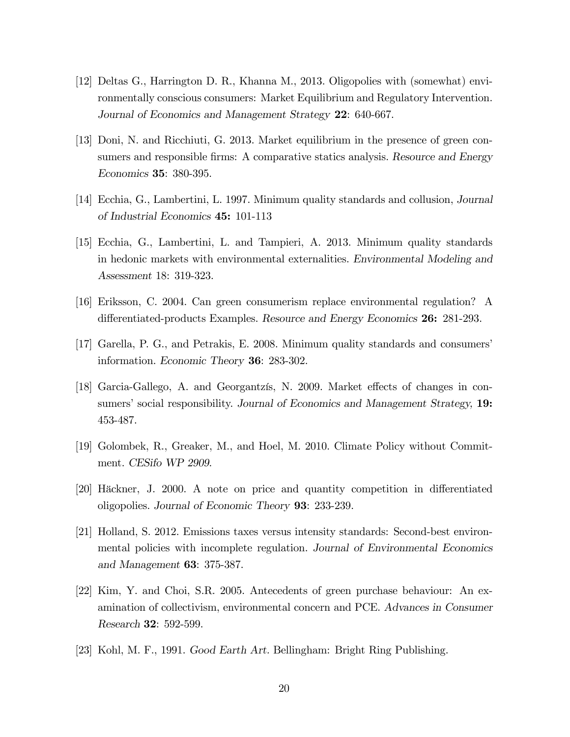- [12] Deltas G., Harrington D. R., Khanna M., 2013. Oligopolies with (somewhat) environmentally conscious consumers: Market Equilibrium and Regulatory Intervention. Journal of Economics and Management Strategy 22: 640-667.
- [13] Doni, N. and Ricchiuti, G. 2013. Market equilibrium in the presence of green consumers and responsible firms: A comparative statics analysis. Resource and Energy Economics 35: 380-395.
- [14] Ecchia, G., Lambertini, L. 1997. Minimum quality standards and collusion, Journal of Industrial Economics 45: 101-113
- [15] Ecchia, G., Lambertini, L. and Tampieri, A. 2013. Minimum quality standards in hedonic markets with environmental externalities. Environmental Modeling and Assessment 18: 319-323.
- [16] Eriksson, C. 2004. Can green consumerism replace environmental regulation? A differentiated-products Examples. Resource and Energy Economics 26: 281-293.
- [17] Garella, P. G., and Petrakis, E. 2008. Minimum quality standards and consumersí information. Economic Theory 36: 283-302.
- [18] Garcia-Gallego, A. and Georgantzis, N. 2009. Market effects of changes in consumers' social responsibility. Journal of Economics and Management Strategy, 19: 453-487.
- [19] Golombek, R., Greaker, M., and Hoel, M. 2010. Climate Policy without Commitment. CESifo WP 2909.
- [20] Häckner, J. 2000. A note on price and quantity competition in differentiated oligopolies. Journal of Economic Theory 93: 233-239.
- [21] Holland, S. 2012. Emissions taxes versus intensity standards: Second-best environmental policies with incomplete regulation. Journal of Environmental Economics and Management 63: 375-387.
- [22] Kim, Y. and Choi, S.R. 2005. Antecedents of green purchase behaviour: An examination of collectivism, environmental concern and PCE. Advances in Consumer Research 32: 592-599.
- [23] Kohl, M. F., 1991. Good Earth Art. Bellingham: Bright Ring Publishing.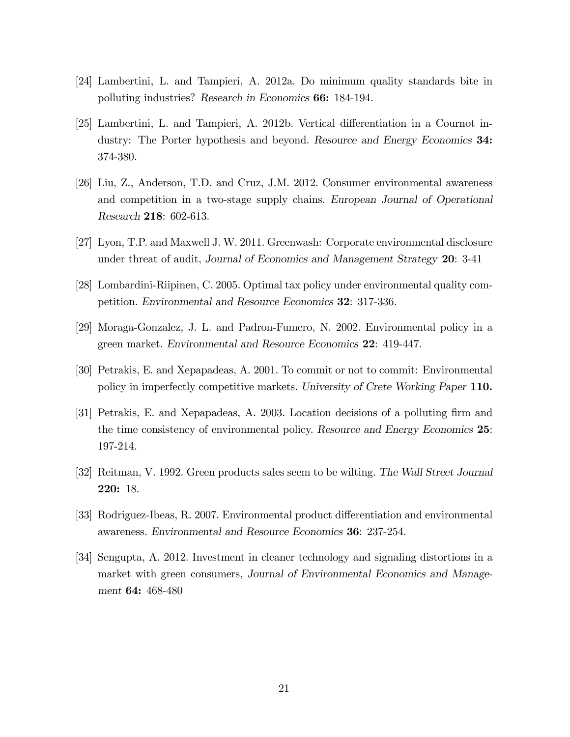- [24] Lambertini, L. and Tampieri, A. 2012a. Do minimum quality standards bite in polluting industries? Research in Economics 66: 184-194.
- [25] Lambertini, L. and Tampieri, A. 2012b. Vertical differentiation in a Cournot industry: The Porter hypothesis and beyond. Resource and Energy Economics 34: 374-380.
- [26] Liu, Z., Anderson, T.D. and Cruz, J.M. 2012. Consumer environmental awareness and competition in a two-stage supply chains. European Journal of Operational Research 218: 602-613.
- [27] Lyon, T.P. and Maxwell J. W. 2011. Greenwash: Corporate environmental disclosure under threat of audit, Journal of Economics and Management Strategy 20: 3-41
- [28] Lombardini-Riipinen, C. 2005. Optimal tax policy under environmental quality competition. Environmental and Resource Economics 32: 317-336.
- [29] Moraga-Gonzalez, J. L. and Padron-Fumero, N. 2002. Environmental policy in a green market. Environmental and Resource Economics 22: 419-447.
- [30] Petrakis, E. and Xepapadeas, A. 2001. To commit or not to commit: Environmental policy in imperfectly competitive markets. University of Crete Working Paper 110.
- [31] Petrakis, E. and Xepapadeas, A. 2003. Location decisions of a polluting Örm and the time consistency of environmental policy. Resource and Energy Economics 25: 197-214.
- [32] Reitman, V. 1992. Green products sales seem to be wilting. The Wall Street Journal 220: 18.
- [33] Rodriguez-Ibeas, R. 2007. Environmental product differentiation and environmental awareness. Environmental and Resource Economics 36: 237-254.
- [34] Sengupta, A. 2012. Investment in cleaner technology and signaling distortions in a market with green consumers, Journal of Environmental Economics and Management 64: 468-480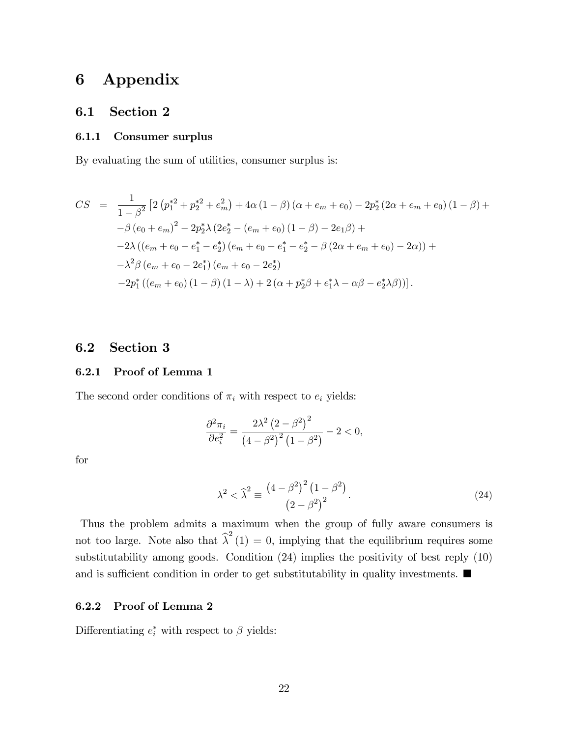## 6 Appendix

## 6.1 Section 2

#### 6.1.1 Consumer surplus

By evaluating the sum of utilities, consumer surplus is:

$$
CS = \frac{1}{1 - \beta^2} \left[ 2 \left( p_1^{*2} + p_2^{*2} + e_m^2 \right) + 4\alpha \left( 1 - \beta \right) \left( \alpha + e_m + e_0 \right) - 2p_2^* \left( 2\alpha + e_m + e_0 \right) \left( 1 - \beta \right) + \right.
$$
  
\n
$$
-\beta \left( e_0 + e_m \right)^2 - 2p_2^* \lambda \left( 2e_2^* - \left( e_m + e_0 \right) \left( 1 - \beta \right) - 2e_1 \beta \right) +
$$
  
\n
$$
-2\lambda \left( \left( e_m + e_0 - e_1^* - e_2^* \right) \left( e_m + e_0 - e_1^* - e_2^* - \beta \left( 2\alpha + e_m + e_0 \right) - 2\alpha \right) \right) +
$$
  
\n
$$
-\lambda^2 \beta \left( e_m + e_0 - 2e_1^* \right) \left( e_m + e_0 - 2e_2^* \right)
$$
  
\n
$$
-2p_1^* \left( \left( e_m + e_0 \right) \left( 1 - \beta \right) \left( 1 - \lambda \right) + 2 \left( \alpha + p_2^* \beta + e_1^* \lambda - \alpha \beta - e_2^* \lambda \beta \right) \right) \right].
$$

## 6.2 Section 3

#### 6.2.1 Proof of Lemma 1

The second order conditions of  $\pi_i$  with respect to  $e_i$  yields:

$$
\frac{\partial^2 \pi_i}{\partial e_i^2} = \frac{2\lambda^2 \left(2 - \beta^2\right)^2}{\left(4 - \beta^2\right)^2 \left(1 - \beta^2\right)} - 2 < 0,
$$

for

$$
\lambda^{2} < \hat{\lambda}^{2} \equiv \frac{\left(4 - \beta^{2}\right)^{2} \left(1 - \beta^{2}\right)}{\left(2 - \beta^{2}\right)^{2}}.
$$
\n(24)

Thus the problem admits a maximum when the group of fully aware consumers is not too large. Note also that  $\hat{\lambda}^2(1) = 0$ , implying that the equilibrium requires some substitutability among goods. Condition (24) implies the positivity of best reply (10) and is sufficient condition in order to get substitutability in quality investments.  $\blacksquare$ 

#### 6.2.2 Proof of Lemma 2

Differentiating  $e_i^*$  with respect to  $\beta$  yields: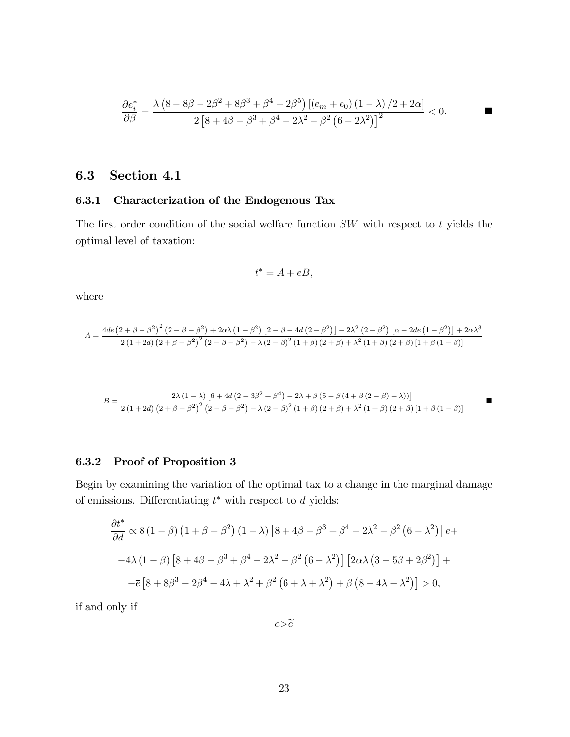$$
\frac{\partial e_i^*}{\partial \beta} = \frac{\lambda \left(8 - 8\beta - 2\beta^2 + 8\beta^3 + \beta^4 - 2\beta^5\right) \left[\left(e_m + e_0\right) \left(1 - \lambda\right) / 2 + 2\alpha\right]}{2 \left[8 + 4\beta - \beta^3 + \beta^4 - 2\lambda^2 - \beta^2 \left(6 - 2\lambda^2\right)\right]^2} < 0.
$$

## 6.3 Section 4.1

## 6.3.1 Characterization of the Endogenous Tax

The first order condition of the social welfare function  $SW$  with respect to t yields the optimal level of taxation:

$$
t^* = A + \overline{e}B,
$$

where

$$
A=\frac{4d\overline{e}\left(2+\beta-\beta^2\right)^2\left(2-\beta-\beta^2\right)+2\alpha\lambda\left(1-\beta^2\right)\left[2-\beta-4d\left(2-\beta^2\right)\right]+2\lambda^2\left(2-\beta^2\right)\left[\alpha-2d\overline{e}\left(1-\beta^2\right)\right]+2\alpha\lambda^3}{2\left(1+2d\right)\left(2+\beta-\beta^2\right)^2\left(2-\beta-\beta^2\right)-\lambda\left(2-\beta\right)^2\left(1+\beta\right)\left(2+\beta\right)+\lambda^2\left(1+\beta\right)\left(2+\beta\right)\left[1+\beta\left(1-\beta\right)\right]}
$$

$$
B = \frac{2\lambda (1 - \lambda) [6 + 4d (2 - 3\beta^{2} + \beta^{4}) - 2\lambda + \beta (5 - \beta (4 + \beta (2 - \beta) - \lambda))]}{2 (1 + 2d) (2 + \beta - \beta^{2})^{2} (2 - \beta - \beta^{2}) - \lambda (2 - \beta)^{2} (1 + \beta) (2 + \beta) + \lambda^{2} (1 + \beta) (2 + \beta) [1 + \beta (1 - \beta)]}
$$

### 6.3.2 Proof of Proposition 3

Begin by examining the variation of the optimal tax to a change in the marginal damage of emissions. Differentiating  $t^*$  with respect to  $d$  yields:

$$
\frac{\partial t^*}{\partial d} \propto 8(1-\beta)\left(1+\beta-\beta^2\right)(1-\lambda)\left[8+4\beta-\beta^3+\beta^4-2\lambda^2-\beta^2\left(6-\lambda^2\right)\right]\overline{e}+
$$

$$
-4\lambda\left(1-\beta\right)\left[8+4\beta-\beta^3+\beta^4-2\lambda^2-\beta^2\left(6-\lambda^2\right)\right]\left[2\alpha\lambda\left(3-5\beta+2\beta^2\right)\right]+
$$

$$
-\overline{e}\left[8+8\beta^3-2\beta^4-4\lambda+\lambda^2+\beta^2\left(6+\lambda+\lambda^2\right)+\beta\left(8-4\lambda-\lambda^2\right)\right]>0,
$$

if and only if

 $\overline{e} > \widetilde{e}$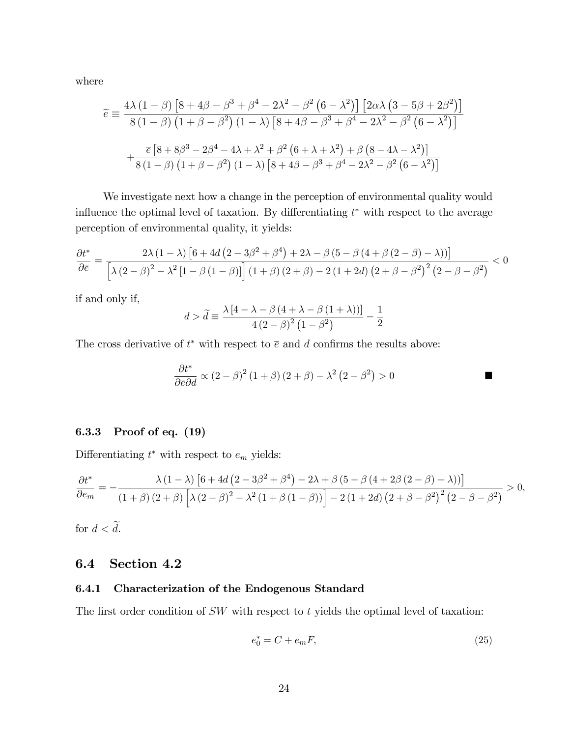where

$$
\widetilde{e} \equiv \frac{4\lambda \left(1-\beta\right) \left[8+4\beta-\beta^3+\beta^4-2\lambda^2-\beta^2 \left(6-\lambda^2\right)\right] \left[2\alpha\lambda \left(3-5\beta+2\beta^2\right)\right]}{8\left(1-\beta\right) \left(1+\beta-\beta^2\right) \left(1-\lambda\right) \left[8+4\beta-\beta^3+\beta^4-2\lambda^2-\beta^2 \left(6-\lambda^2\right)\right]}
$$

$$
+\frac{\overline{e}\left[8+8\beta^3-2\beta^4-4\lambda+\lambda^2+\beta^2 \left(6+\lambda+\lambda^2\right)+\beta \left(8-4\lambda-\lambda^2\right)\right]}{8\left(1-\beta\right) \left(1+\beta-\beta^2\right) \left(1-\lambda\right) \left[8+4\beta-\beta^3+\beta^4-2\lambda^2-\beta^2 \left(6-\lambda^2\right)\right]}
$$

We investigate next how a change in the perception of environmental quality would influence the optimal level of taxation. By differentiating  $t^*$  with respect to the average perception of environmental quality, it yields:

$$
\frac{\partial t^*}{\partial \overline{e}} = \frac{2\lambda (1-\lambda) \left[6+4d \left(2-3\beta ^2+\beta ^4\right)+2\lambda -\beta \left(5-\beta \left(4+\beta \left(2-\beta \right)-\lambda \right)\right)\right]}{\left[\lambda \left(2-\beta \right)^2-\lambda ^2 \left[1-\beta \left(1-\beta \right)\right]\right] \left(1+\beta \right) \left(2+\beta \right)-2 \left(1+2d\right) \left(2+\beta -\beta ^2\right)^2 \left(2-\beta -\beta ^2\right)}<0
$$

if and only if,

$$
d > \tilde{d} \equiv \frac{\lambda [4 - \lambda - \beta (4 + \lambda - \beta (1 + \lambda))]}{4 (2 - \beta)^2 (1 - \beta^2)} - \frac{1}{2}
$$

The cross derivative of  $t^*$  with respect to  $\bar{e}$  and d confirms the results above:

$$
\frac{\partial t^*}{\partial \bar{e} \partial d} \propto (2 - \beta)^2 (1 + \beta) (2 + \beta) - \lambda^2 (2 - \beta^2) > 0
$$

### 6.3.3 Proof of eq. (19)

Differentiating  $t^*$  with respect to  $e_m$  yields:

$$
\frac{\partial t^*}{\partial e_m} = -\frac{\lambda (1-\lambda) \left[6+4d \left(2-3\beta^2+\beta^4\right)-2\lambda+\beta \left(5-\beta \left(4+2\beta \left(2-\beta\right)+\lambda\right)\right)\right]}{\left(1+\beta \right) \left(2+\beta\right) \left[\lambda \left(2-\beta\right)^2-\lambda^2 \left(1+\beta \left(1-\beta\right)\right)\right]-2\left(1+2d\right) \left(2+\beta-\beta^2\right)^2 \left(2-\beta-\beta^2\right)} > 0,
$$

for  $d < \tilde{d}$ .

## 6.4 Section 4.2

### 6.4.1 Characterization of the Endogenous Standard

The first order condition of  $SW$  with respect to  $t$  yields the optimal level of taxation:

$$
e_0^* = C + e_m F,\t\t(25)
$$